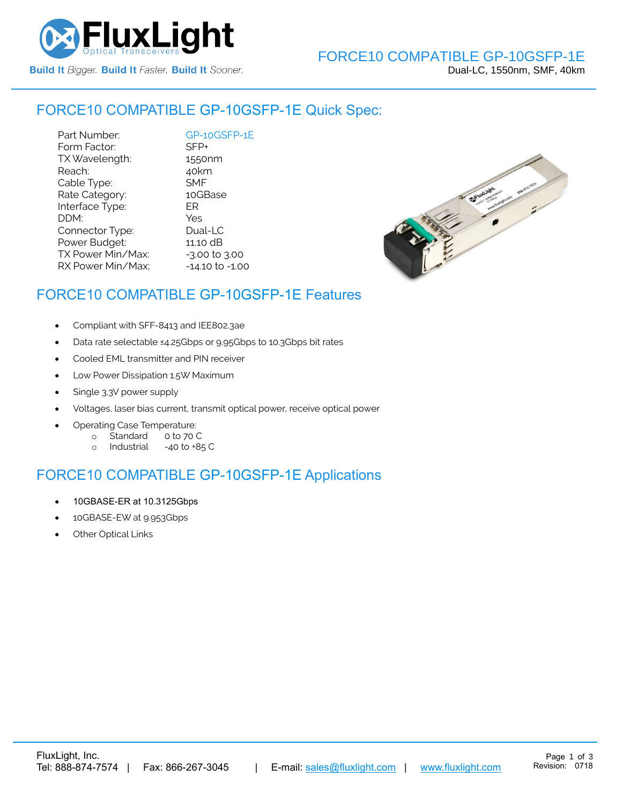

### FORCE10 COMPATIBLE [GP-10GSFP-1E](https://www.fluxlight.com/) Quick Spec:

Part Number: [GP-10GSFP-1E](https://www.fluxlight.com/) Form Factor: SFP+<br>TX Wavelength: 1550nm TX Wavelength: Reach: 40km Cable Type: SMF Rate Category: 10GBase Interface Type: ER DDM: Yes Connector Type: Dual-LC Power Budget: 11.10 dB  $TX$  Power Min/Max:  $-3.00$  to  $3.00$ RX Power Min/Max; - 14.10 to -1.00



# FORCE10 COMPATIBLE [GP-10GSFP-1E](https://www.fluxlight.com/) Features

- Compliant with SFF-8413 and IEE802.3ae
- Data rate selectable ≤4.25Gbps or 9.95Gbps to 10.3Gbps bit rates
- Cooled EML transmitter and PIN receiver
- Low Power Dissipation 1.5W Maximum
- Single 3.3V power supply
- Voltages, laser bias current, transmit optical power, receive optical power
- Operating Case Temperature:
	- o Standard 0 to 70 C
	- o Industrial -40 to +85 C

## FORCE10 COMPATIBLE [GP-10GSFP-1E](https://www.fluxlight.com/) Applications

- 10GBASE-ER at 10.3125Gbps
- 10GBASE-EW at 9.953Gbps
- **Other Optical Links**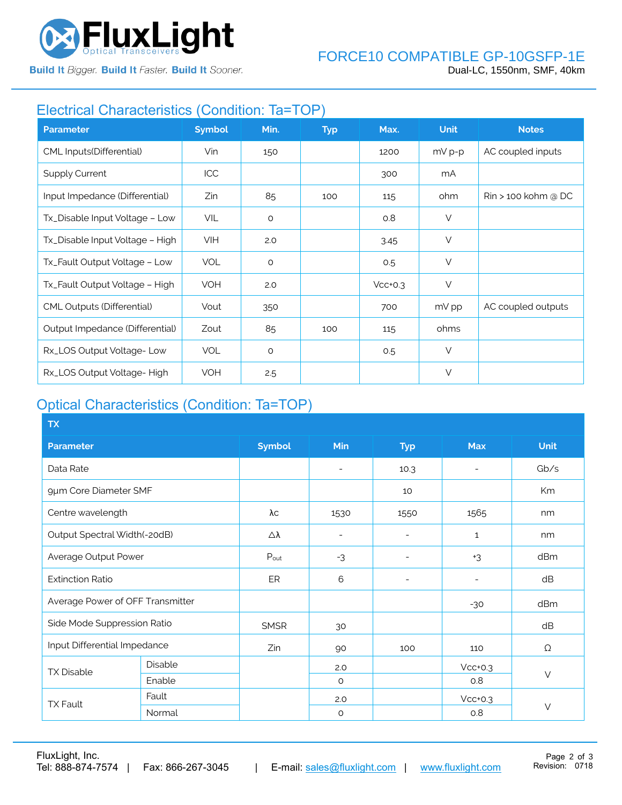

**Build It Bigger. Build It Faster. Build It Sooner.** 

# Electrical Characteristics (Condition: Ta=TOP)

| <b>Parameter</b>                  | <b>Symbol</b> | Min.    | <b>Typ</b> | Max.      | <b>Unit</b> | <b>Notes</b>                    |
|-----------------------------------|---------------|---------|------------|-----------|-------------|---------------------------------|
| CML Inputs(Differential)          | Vin           | 150     |            | 1200      | $mV p-p$    | AC coupled inputs               |
| <b>Supply Current</b>             | ICC           |         |            | 300       | mA          |                                 |
| Input Impedance (Differential)    | Zin           | 85      | 100        | 115       | ohm         | $\mathrm{R}$ in > 100 kohm @ DC |
| Tx_Disable Input Voltage - Low    | <b>VIL</b>    | $\circ$ |            | O.8       | $\vee$      |                                 |
| Tx_Disable Input Voltage - High   | <b>VIH</b>    | 2.0     |            | 3.45      | $\vee$      |                                 |
| Tx_Fault Output Voltage - Low     | <b>VOL</b>    | $\circ$ |            | 0.5       | $\vee$      |                                 |
| Tx_Fault Output Voltage - High    | VOH           | 2.0     |            | $Vcc+0.3$ | $\vee$      |                                 |
| <b>CML Outputs (Differential)</b> | Vout          | 350     |            | 700       | mV pp       | AC coupled outputs              |
| Output Impedance (Differential)   | Zout          | 85      | 100        | 115       | ohms        |                                 |
| Rx_LOS Output Voltage-Low         | <b>VOL</b>    | $\circ$ |            | 0.5       | $\vee$      |                                 |
| Rx_LOS Output Voltage-High        | <b>VOH</b>    | 2.5     |            |           | V           |                                 |

# Optical Characteristics (Condition: Ta=TOP)

| <b>TX</b>                        |         |               |                          |                          |              |             |  |
|----------------------------------|---------|---------------|--------------------------|--------------------------|--------------|-------------|--|
| <b>Parameter</b>                 |         | <b>Symbol</b> | Min                      | <b>Typ</b>               | <b>Max</b>   | <b>Unit</b> |  |
| Data Rate                        |         |               | $\overline{\phantom{a}}$ | 10.3                     |              | Gb/s        |  |
| 9µm Core Diameter SMF            |         |               |                          | 10                       |              | Km          |  |
| Centre wavelength                |         | λс            | 1530                     | 1550                     | 1565         | nm          |  |
| Output Spectral Width(-20dB)     |         | Δλ            | $\overline{\phantom{a}}$ | ۰                        | $\mathbf{1}$ | nm          |  |
| Average Output Power             |         | Pout          | $-3$                     | $\overline{\phantom{a}}$ | $+3$         | dBm         |  |
| <b>Extinction Ratio</b>          |         | ER            | 6                        | $\overline{a}$           |              | dB          |  |
| Average Power of OFF Transmitter |         |               |                          |                          | $-30$        | dBm         |  |
| Side Mode Suppression Ratio      |         | <b>SMSR</b>   | 30                       |                          |              | dB          |  |
| Input Differential Impedance     |         | Zin           | 90                       | 100                      | 110          | Ω           |  |
| <b>TX Disable</b>                | Disable |               | 2.0                      |                          | $Vcc+0.3$    | $\vee$      |  |
|                                  | Enable  |               | $\circ$                  |                          | 0.8          |             |  |
| <b>TX Fault</b>                  | Fault   |               | 2.0                      |                          | $Vcc+0.3$    |             |  |
|                                  | Normal  |               | $\circ$                  |                          | 0.8          | $\vee$      |  |